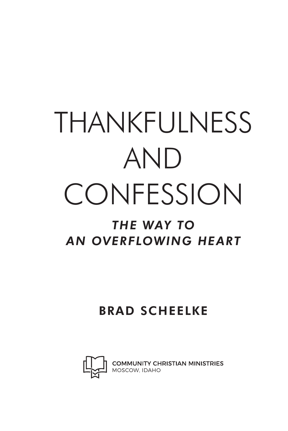# THANKFULNESS AND **CONFESSION**

#### *THE WAY TO AN OVERFLOWING HEART*

#### BRAD SCHEELKE



COMMUNITY CHRISTIAN MINISTRIES<br>MOSCOW, IDAHO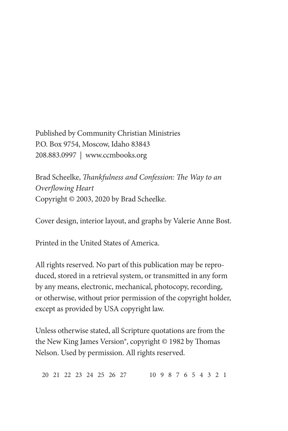Published by Community Christian Ministries P.O. Box 9754, Moscow, Idaho 83843 208.883.0997 | www.ccmbooks.org

Brad Scheelke, *Thankfulness and Confession: The Way to an Overflowing Heart* Copyright © 2003, 2020 by Brad Scheelke.

Cover design, interior layout, and graphs by Valerie Anne Bost.

Printed in the United States of America.

All rights reserved. No part of this publication may be reproduced, stored in a retrieval system, or transmitted in any form by any means, electronic, mechanical, photocopy, recording, or otherwise, without prior permission of the copyright holder, except as provided by USA copyright law.

Unless otherwise stated, all Scripture quotations are from the the New King James Version®, copyright © 1982 by Thomas Nelson. Used by permission. All rights reserved.

20 21 22 23 24 25 26 27 10 9 8 7 6 5 4 3 2 1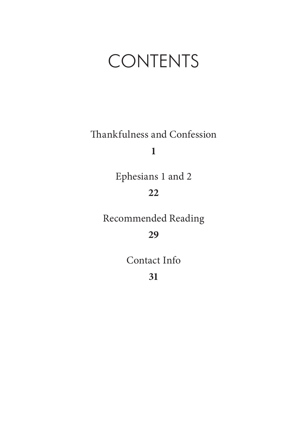### CONTENTS

Thankfulness and Confession

**1**

Ephesians 1 and 2

#### **22**

Recommended Reading

**29**

Contact Info

**31**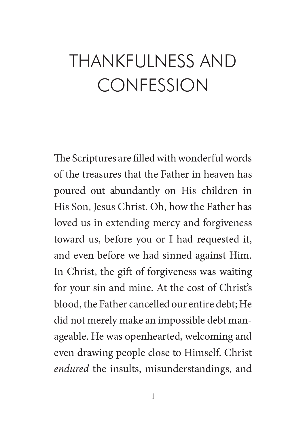# THANKFULNESS AND **CONFESSION**

The Scriptures are filled with wonderful words of the treasures that the Father in heaven has poured out abundantly on His children in His Son, Jesus Christ. Oh, how the Father has loved us in extending mercy and forgiveness toward us, before you or I had requested it, and even before we had sinned against Him. In Christ, the gift of forgiveness was waiting for your sin and mine. At the cost of Christ's blood, the Father cancelled our entire debt; He did not merely make an impossible debt manageable. He was openhearted, welcoming and even drawing people close to Himself. Christ *endured* the insults, misunderstandings, and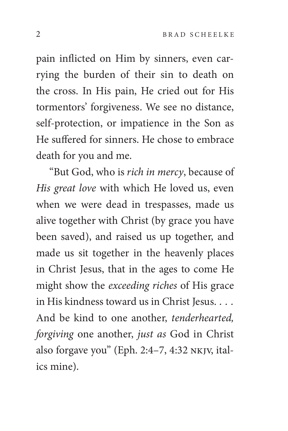pain inflicted on Him by sinners, even carrying the burden of their sin to death on the cross. In His pain, He cried out for His tormentors' forgiveness. We see no distance, self-protection, or impatience in the Son as He suffered for sinners. He chose to embrace death for you and me.

"But God, who is *rich in mercy*, because of *His great love* with which He loved us, even when we were dead in trespasses, made us alive together with Christ (by grace you have been saved), and raised us up together, and made us sit together in the heavenly places in Christ Jesus, that in the ages to come He might show the *exceeding riches* of His grace in His kindness toward us in Christ Jesus. *. . .* And be kind to one another, *tenderhearted, forgiving* one another, *just as* God in Christ also forgave you" (Eph. 2:4–7, 4:32 nkjv, italics mine).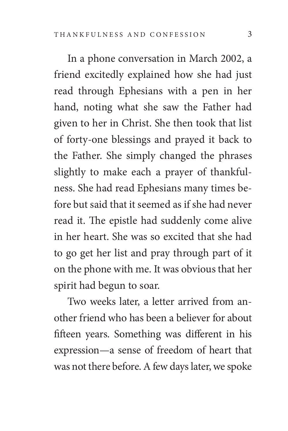In a phone conversation in March 2002, a friend excitedly explained how she had just read through Ephesians with a pen in her hand, noting what she saw the Father had given to her in Christ. She then took that list of forty-one blessings and prayed it back to the Father. She simply changed the phrases slightly to make each a prayer of thankfulness. She had read Ephesians many times before but said that it seemed as if she had never read it. The epistle had suddenly come alive in her heart. She was so excited that she had to go get her list and pray through part of it on the phone with me. It was obvious that her spirit had begun to soar.

Two weeks later, a letter arrived from another friend who has been a believer for about fifteen years. Something was different in his expression—a sense of freedom of heart that was not there before. A few days later, we spoke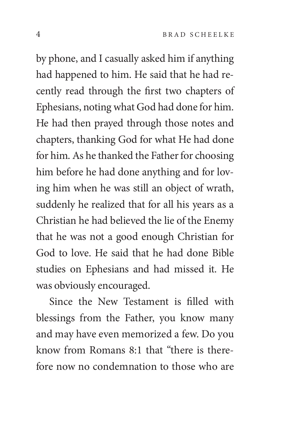by phone, and I casually asked him if anything had happened to him. He said that he had recently read through the first two chapters of Ephesians, noting what God had done for him. He had then prayed through those notes and chapters, thanking God for what He had done for him. As he thanked the Father for choosing him before he had done anything and for loving him when he was still an object of wrath, suddenly he realized that for all his years as a Christian he had believed the lie of the Enemy that he was not a good enough Christian for God to love. He said that he had done Bible studies on Ephesians and had missed it. He was obviously encouraged.

Since the New Testament is filled with blessings from the Father, you know many and may have even memorized a few. Do you know from Romans 8:1 that "there is therefore now no condemnation to those who are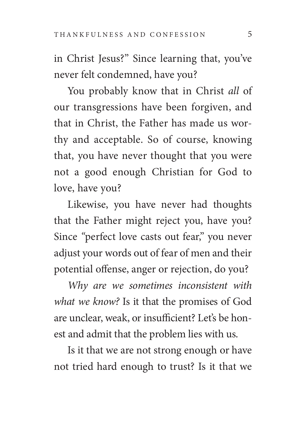in Christ Jesus?" Since learning that, you've never felt condemned, have you?

You probably know that in Christ *all* of our transgressions have been forgiven, and that in Christ, the Father has made us worthy and acceptable. So of course, knowing that, you have never thought that you were not a good enough Christian for God to love, have you?

Likewise, you have never had thoughts that the Father might reject you, have you? Since *"*perfect love casts out fear," you never adjust your words out of fear of men and their potential offense, anger or rejection, do you?

*Why are we sometimes inconsistent with what we know?* Is it that the promises of God are unclear, weak, or insufficient? Let's be honest and admit that the problem lies with us.

Is it that we are not strong enough or have not tried hard enough to trust? Is it that we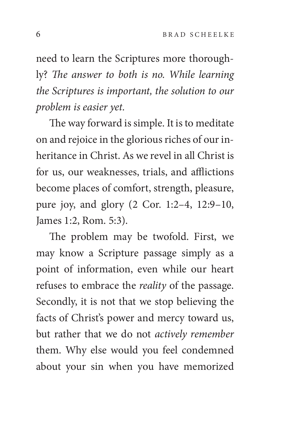need to learn the Scriptures more thoroughly? *The answer to both is no. While learning the Scriptures is important, the solution to our problem is easier yet.*

The way forward is simple. It is to meditate on and rejoice in the glorious riches of our inheritance in Christ. As we revel in all Christ is for us, our weaknesses, trials, and afflictions become places of comfort, strength, pleasure, pure joy, and glory (2 Cor. 1:2–4, 12:9–10, James 1:2, Rom. 5:3).

The problem may be twofold. First, we may know a Scripture passage simply as a point of information, even while our heart refuses to embrace the *reality* of the passage. Secondly, it is not that we stop believing the facts of Christ's power and mercy toward us, but rather that we do not *actively remember* them. Why else would you feel condemned about your sin when you have memorized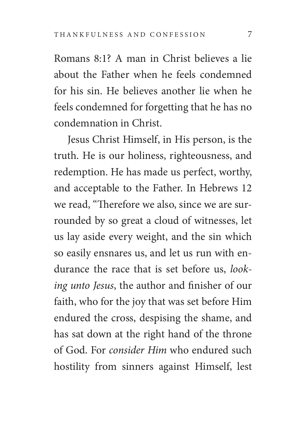Romans 8:1? A man in Christ believes a lie about the Father when he feels condemned for his sin. He believes another lie when he feels condemned for forgetting that he has no condemnation in Christ.

Jesus Christ Himself, in His person, is the truth. He is our holiness, righteousness, and redemption. He has made us perfect, worthy, and acceptable to the Father. In Hebrews 12 we read, "Therefore we also, since we are surrounded by so great a cloud of witnesses, let us lay aside every weight, and the sin which so easily ensnares us, and let us run with endurance the race that is set before us, *looking unto Jesus*, the author and finisher of our faith, who for the joy that was set before Him endured the cross, despising the shame, and has sat down at the right hand of the throne of God. For *consider Him* who endured such hostility from sinners against Himself, lest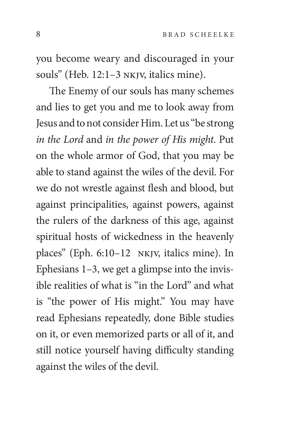you become weary and discouraged in your souls" (Heb. 12:1–3 nkjv, italics mine).

The Enemy of our souls has many schemes and lies to get you and me to look away from Jesus and to not consider Him. Let us "be strong *in the Lord* and *in the power of His might*. Put on the whole armor of God, that you may be able to stand against the wiles of the devil. For we do not wrestle against flesh and blood, but against principalities, against powers, against the rulers of the darkness of this age, against spiritual hosts of wickedness in the heavenly places" (Eph. 6:10–12 nkjv, italics mine). In Ephesians 1–3, we get a glimpse into the invisible realities of what is "in the Lord" and what is "the power of His might." You may have read Ephesians repeatedly, done Bible studies on it, or even memorized parts or all of it, and still notice yourself having difficulty standing against the wiles of the devil.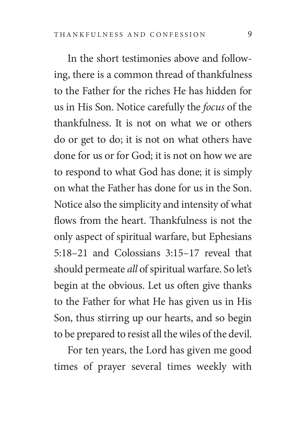In the short testimonies above and following, there is a common thread of thankfulness to the Father for the riches He has hidden for us in His Son. Notice carefully the *focus* of the thankfulness. It is not on what we or others do or get to do; it is not on what others have done for us or for God; it is not on how we are to respond to what God has done; it is simply on what the Father has done for us in the Son. Notice also the simplicity and intensity of what flows from the heart. Thankfulness is not the only aspect of spiritual warfare, but Ephesians 5:18–21 and Colossians 3:15–17 reveal that should permeate *all* of spiritual warfare. So let's begin at the obvious. Let us often give thanks to the Father for what He has given us in His Son, thus stirring up our hearts, and so begin to be prepared to resist all the wiles of the devil.

For ten years, the Lord has given me good times of prayer several times weekly with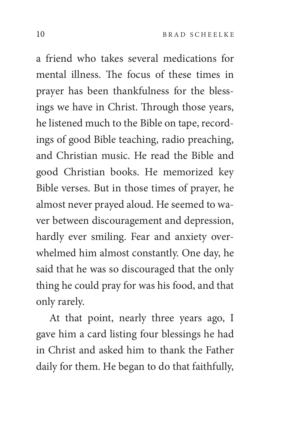a friend who takes several medications for mental illness. The focus of these times in prayer has been thankfulness for the blessings we have in Christ. Through those years, he listened much to the Bible on tape, recordings of good Bible teaching, radio preaching, and Christian music. He read the Bible and good Christian books. He memorized key Bible verses. But in those times of prayer, he almost never prayed aloud. He seemed to waver between discouragement and depression, hardly ever smiling. Fear and anxiety overwhelmed him almost constantly. One day, he said that he was so discouraged that the only thing he could pray for was his food, and that only rarely.

At that point, nearly three years ago, I gave him a card listing four blessings he had in Christ and asked him to thank the Father daily for them. He began to do that faithfully,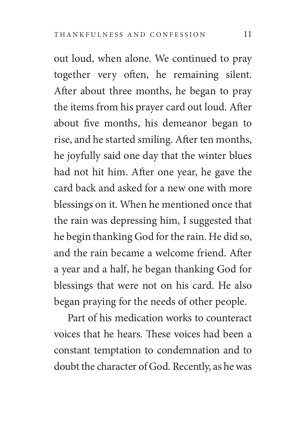out loud, when alone. We continued to pray together very often, he remaining silent. After about three months, he began to pray the items from his prayer card out loud. After about five months, his demeanor began to rise, and he started smiling. After ten months, he joyfully said one day that the winter blues had not hit him. After one year, he gave the card back and asked for a new one with more blessings on it. When he mentioned once that the rain was depressing him, I suggested that he begin thanking God for the rain. He did so, and the rain became a welcome friend. After a year and a half, he began thanking God for blessings that were not on his card. He also began praying for the needs of other people.

Part of his medication works to counteract voices that he hears. These voices had been a constant temptation to condemnation and to doubt the character of God. Recently, as he was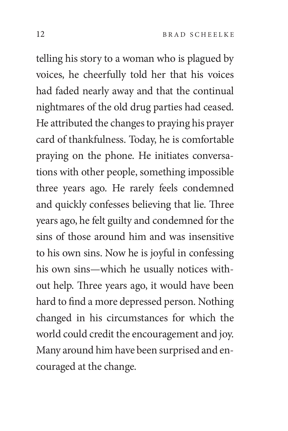telling his story to a woman who is plagued by voices, he cheerfully told her that his voices had faded nearly away and that the continual nightmares of the old drug parties had ceased. He attributed the changes to praying his prayer card of thankfulness. Today, he is comfortable praying on the phone. He initiates conversations with other people, something impossible three years ago. He rarely feels condemned and quickly confesses believing that lie. Three years ago, he felt guilty and condemned for the sins of those around him and was insensitive to his own sins. Now he is joyful in confessing his own sins—which he usually notices without help. Three years ago, it would have been hard to find a more depressed person. Nothing changed in his circumstances for which the world could credit the encouragement and joy. Many around him have been surprised and encouraged at the change.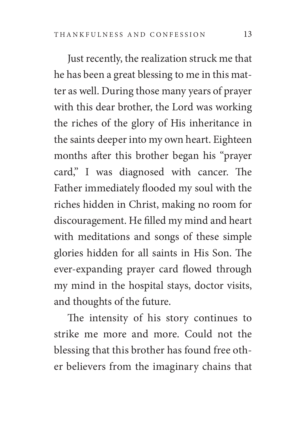Just recently, the realization struck me that he has been a great blessing to me in this matter as well. During those many years of prayer with this dear brother, the Lord was working the riches of the glory of His inheritance in the saints deeper into my own heart. Eighteen months after this brother began his "prayer card," I was diagnosed with cancer. The Father immediately flooded my soul with the riches hidden in Christ, making no room for discouragement. He filled my mind and heart with meditations and songs of these simple glories hidden for all saints in His Son. The ever-expanding prayer card flowed through my mind in the hospital stays, doctor visits, and thoughts of the future.

The intensity of his story continues to strike me more and more. Could not the blessing that this brother has found free other believers from the imaginary chains that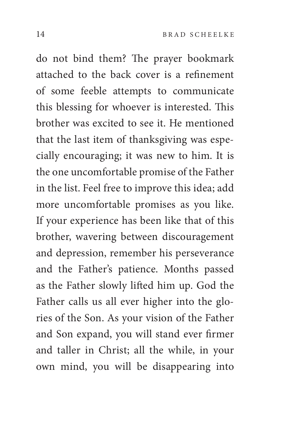do not bind them? The prayer bookmark attached to the back cover is a refinement of some feeble attempts to communicate this blessing for whoever is interested. This brother was excited to see it. He mentioned that the last item of thanksgiving was especially encouraging; it was new to him. It is the one uncomfortable promise of the Father in the list. Feel free to improve this idea; add more uncomfortable promises as you like. If your experience has been like that of this brother, wavering between discouragement and depression, remember his perseverance and the Father's patience. Months passed as the Father slowly lifted him up. God the Father calls us all ever higher into the glories of the Son. As your vision of the Father and Son expand, you will stand ever firmer and taller in Christ; all the while, in your own mind, you will be disappearing into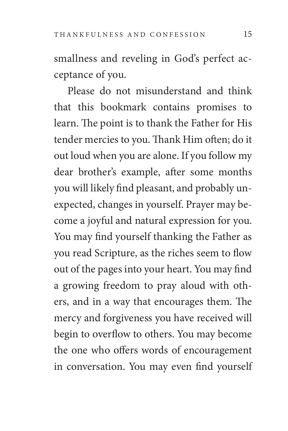smallness and reveling in God's perfect acceptance of you.

Please do not misunderstand and think that this bookmark contains promises to learn. The point is to thank the Father for His tender mercies to you. Thank Him often; do it out loud when you are alone. If you follow my dear brother's example, after some months you will likely find pleasant, and probably unexpected, changes in yourself. Prayer may become a joyful and natural expression for you. You may find yourself thanking the Father as you read Scripture, as the riches seem to flow out of the pages into your heart. You may find a growing freedom to pray aloud with others, and in a way that encourages them. The mercy and forgiveness you have received will begin to overflow to others. You may become the one who offers words of encouragement in conversation. You may even find yourself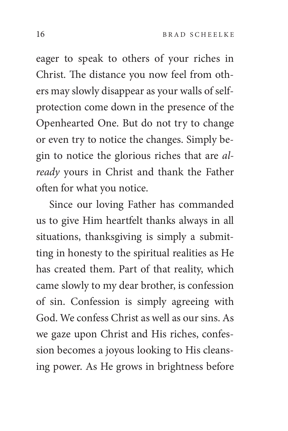eager to speak to others of your riches in Christ. The distance you now feel from others may slowly disappear as your walls of selfprotection come down in the presence of the Openhearted One. But do not try to change or even try to notice the changes. Simply begin to notice the glorious riches that are *already* yours in Christ and thank the Father often for what you notice.

Since our loving Father has commanded us to give Him heartfelt thanks always in all situations, thanksgiving is simply a submitting in honesty to the spiritual realities as He has created them. Part of that reality, which came slowly to my dear brother, is confession of sin. Confession is simply agreeing with God. We confess Christ as well as our sins. As we gaze upon Christ and His riches, confession becomes a joyous looking to His cleansing power. As He grows in brightness before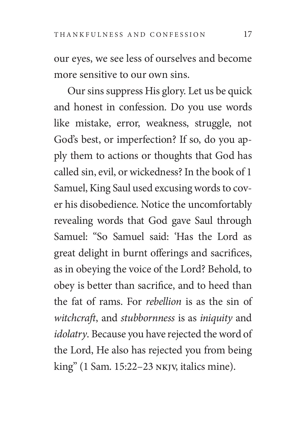our eyes, we see less of ourselves and become more sensitive to our own sins.

Our sins suppress His glory. Let us be quick and honest in confession. Do you use words like mistake, error, weakness, struggle, not God's best, or imperfection? If so, do you apply them to actions or thoughts that God has called sin, evil, or wickedness? In the book of 1 Samuel, King Saul used excusing words to cover his disobedience. Notice the uncomfortably revealing words that God gave Saul through Samuel: "So Samuel said: 'Has the Lord as great delight in burnt offerings and sacrifices, as in obeying the voice of the Lord? Behold, to obey is better than sacrifice, and to heed than the fat of rams. For *rebellion* is as the sin of *witchcraft*, and *stubbornness* is as *iniquity* and *idolatry*. Because you have rejected the word of the Lord, He also has rejected you from being king" (1 Sam. 15:22–23 nkjv, italics mine).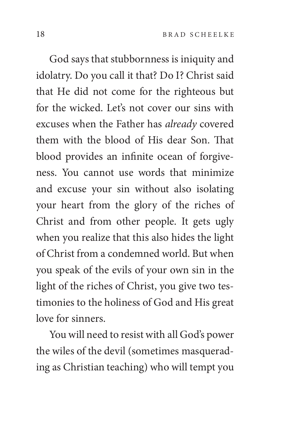God says that stubbornness is iniquity and idolatry. Do you call it that? Do I? Christ said that He did not come for the righteous but for the wicked. Let's not cover our sins with excuses when the Father has *already* covered them with the blood of His dear Son. That blood provides an infinite ocean of forgiveness. You cannot use words that minimize and excuse your sin without also isolating your heart from the glory of the riches of Christ and from other people. It gets ugly when you realize that this also hides the light of Christ from a condemned world. But when you speak of the evils of your own sin in the light of the riches of Christ, you give two testimonies to the holiness of God and His great love for sinners.

You will need to resist with all God's power the wiles of the devil (sometimes masquerading as Christian teaching) who will tempt you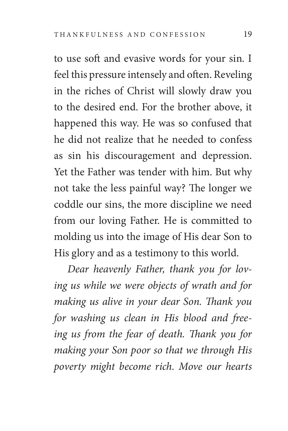to use soft and evasive words for your sin. I feel this pressure intensely and often. Reveling in the riches of Christ will slowly draw you to the desired end. For the brother above, it happened this way. He was so confused that he did not realize that he needed to confess as sin his discouragement and depression. Yet the Father was tender with him. But why not take the less painful way? The longer we coddle our sins, the more discipline we need from our loving Father. He is committed to molding us into the image of His dear Son to His glory and as a testimony to this world.

*Dear heavenly Father, thank you for loving us while we were objects of wrath and for making us alive in your dear Son. Thank you for washing us clean in His blood and freeing us from the fear of death. Thank you for making your Son poor so that we through His poverty might become rich. Move our hearts*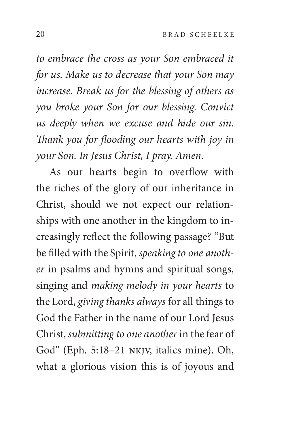*to embrace the cross as your Son embraced it for us. Make us to decrease that your Son may increase. Break us for the blessing of others as you broke your Son for our blessing. Convict us deeply when we excuse and hide our sin. Thank you for flooding our hearts with joy in your Son. In Jesus Christ, I pray. Amen.*

As our hearts begin to overflow with the riches of the glory of our inheritance in Christ, should we not expect our relationships with one another in the kingdom to increasingly reflect the following passage? "But be filled with the Spirit, *speaking to one another* in psalms and hymns and spiritual songs, singing and *making melody in your hearts* to the Lord, *giving thanks always* for all things to God the Father in the name of our Lord Jesus Christ, *submitting to one another* in the fear of God" (Eph. 5:18–21 nkjv, italics mine). Oh, what a glorious vision this is of joyous and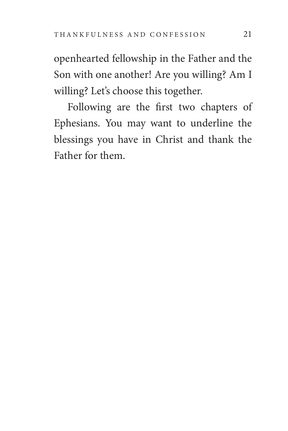openhearted fellowship in the Father and the Son with one another! Are you willing? Am I willing? Let's choose this together.

Following are the first two chapters of Ephesians. You may want to underline the blessings you have in Christ and thank the Father for them.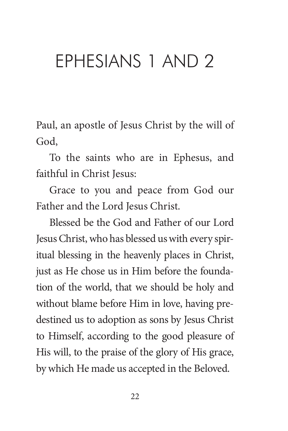#### EPHESIANS 1 AND 2

Paul, an apostle of Jesus Christ by the will of God,

To the saints who are in Ephesus, and faithful in Christ Jesus:

Grace to you and peace from God our Father and the Lord Jesus Christ.

Blessed be the God and Father of our Lord Jesus Christ, who has blessed us with every spiritual blessing in the heavenly places in Christ, just as He chose us in Him before the foundation of the world, that we should be holy and without blame before Him in love, having predestined us to adoption as sons by Jesus Christ to Himself, according to the good pleasure of His will, to the praise of the glory of His grace, by which He made us accepted in the Beloved.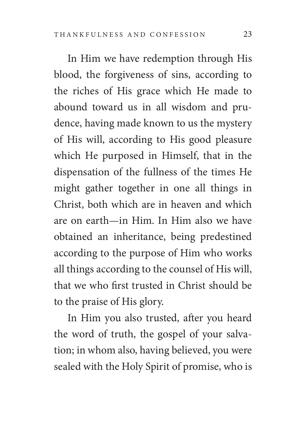In Him we have redemption through His blood, the forgiveness of sins, according to the riches of His grace which He made to abound toward us in all wisdom and prudence, having made known to us the mystery of His will, according to His good pleasure which He purposed in Himself, that in the dispensation of the fullness of the times He might gather together in one all things in Christ, both which are in heaven and which are on earth—in Him. In Him also we have obtained an inheritance, being predestined according to the purpose of Him who works all things according to the counsel of His will, that we who first trusted in Christ should be to the praise of His glory.

In Him you also trusted, after you heard the word of truth, the gospel of your salvation; in whom also, having believed, you were sealed with the Holy Spirit of promise, who is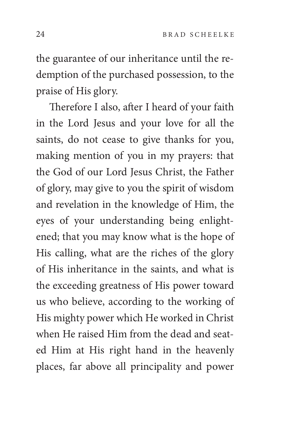the guarantee of our inheritance until the redemption of the purchased possession, to the praise of His glory.

Therefore I also, after I heard of your faith in the Lord Jesus and your love for all the saints, do not cease to give thanks for you, making mention of you in my prayers: that the God of our Lord Jesus Christ, the Father of glory, may give to you the spirit of wisdom and revelation in the knowledge of Him, the eyes of your understanding being enlightened; that you may know what is the hope of His calling, what are the riches of the glory of His inheritance in the saints, and what is the exceeding greatness of His power toward us who believe, according to the working of His mighty power which He worked in Christ when He raised Him from the dead and seated Him at His right hand in the heavenly places, far above all principality and power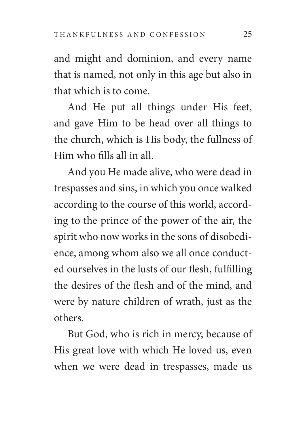and might and dominion, and every name that is named, not only in this age but also in that which is to come.

And He put all things under His feet, and gave Him to be head over all things to the church, which is His body, the fullness of Him who fills all in all.

And you He made alive, who were dead in trespasses and sins, in which you once walked according to the course of this world, according to the prince of the power of the air, the spirit who now works in the sons of disobedience, among whom also we all once conducted ourselves in the lusts of our flesh, fulfilling the desires of the flesh and of the mind, and were by nature children of wrath, just as the others.

But God, who is rich in mercy, because of His great love with which He loved us, even when we were dead in trespasses, made us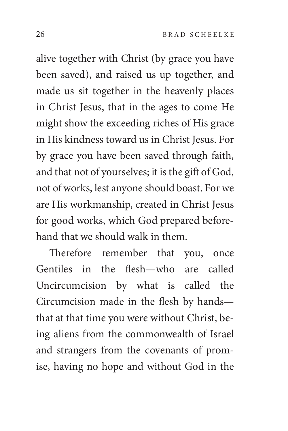alive together with Christ (by grace you have been saved), and raised us up together, and made us sit together in the heavenly places in Christ Jesus, that in the ages to come He might show the exceeding riches of His grace in His kindness toward us in Christ Jesus. For by grace you have been saved through faith, and that not of yourselves; it is the gift of God, not of works, lest anyone should boast. For we are His workmanship, created in Christ Jesus for good works, which God prepared beforehand that we should walk in them.

Therefore remember that you, once Gentiles in the flesh—who are called Uncircumcision by what is called the Circumcision made in the flesh by hands that at that time you were without Christ, being aliens from the commonwealth of Israel and strangers from the covenants of promise, having no hope and without God in the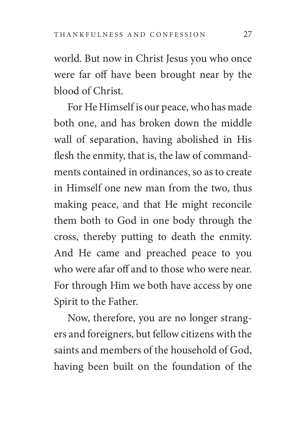world. But now in Christ Jesus you who once were far off have been brought near by the blood of Christ.

For He Himself is our peace, who has made both one, and has broken down the middle wall of separation, having abolished in His flesh the enmity, that is, the law of commandments contained in ordinances, so as to create in Himself one new man from the two, thus making peace, and that He might reconcile them both to God in one body through the cross, thereby putting to death the enmity. And He came and preached peace to you who were afar off and to those who were near. For through Him we both have access by one Spirit to the Father.

Now, therefore, you are no longer strangers and foreigners, but fellow citizens with the saints and members of the household of God, having been built on the foundation of the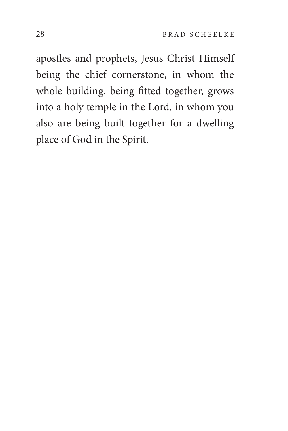apostles and prophets, Jesus Christ Himself being the chief cornerstone, in whom the whole building, being fitted together, grows into a holy temple in the Lord, in whom you also are being built together for a dwelling place of God in the Spirit.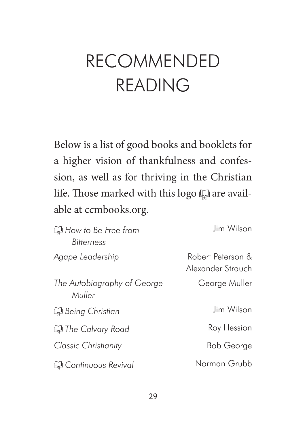## RECOMMENDED READING

Below is a list of good books and booklets for a higher vision of thankfulness and confession, as well as for thriving in the Christian life. Those marked with this logo  $\mathbb{Q}$  are available at ccmbooks.org.

| 暭 How to Be Free from<br><b>Ritterness</b> | lim Wilson                             |
|--------------------------------------------|----------------------------------------|
| Agape Leadership                           | Robert Peterson &<br>Alexander Strauch |
| The Autobiography of George<br>Muller      | George Muller                          |
| <b>場 Being Christian</b>                   | lim Wilson                             |
| ंचि The Calvary Road                       | Roy Hession                            |
| Classic Christianity                       | <b>Bob George</b>                      |
| ⊯ Continuous Revival                       | Norman Grubb                           |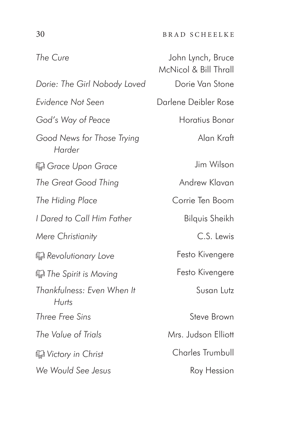#### 30 BRAD SCHEELKE

**Dorie: The Girl Nobody Loved** Dorie Van Stone *Evidence Not Seen* Darlene Deibler Rose *God's Way of Peace* Horatius Bonar *Good News for Those Trying Harder Grace Upon Grace* Jim Wilson **The Great Good Thing Ching Andrew Klavan** *The Hiding Place* Corrie Ten Boom *I* Dared to Call Him Father **Bilquis Sheikh** *Mere Christianity* C.S. Lewis *D* Revolutionary Love **Festo Kivengere** *I* The Spirit is Moving **Festo Kivengere** *Thankfulness: Even When It Hurts* **Three Free Sins** Steve Brown *The Value of Trials* Mrs. Judson Elliott  *Victory in Christ* Charles Trumbull **We Would See Jesus** Roy Hession

*The Cure* John Lynch, Bruce McNicol & Bill Thrall Alan Kraft Susan Lutz